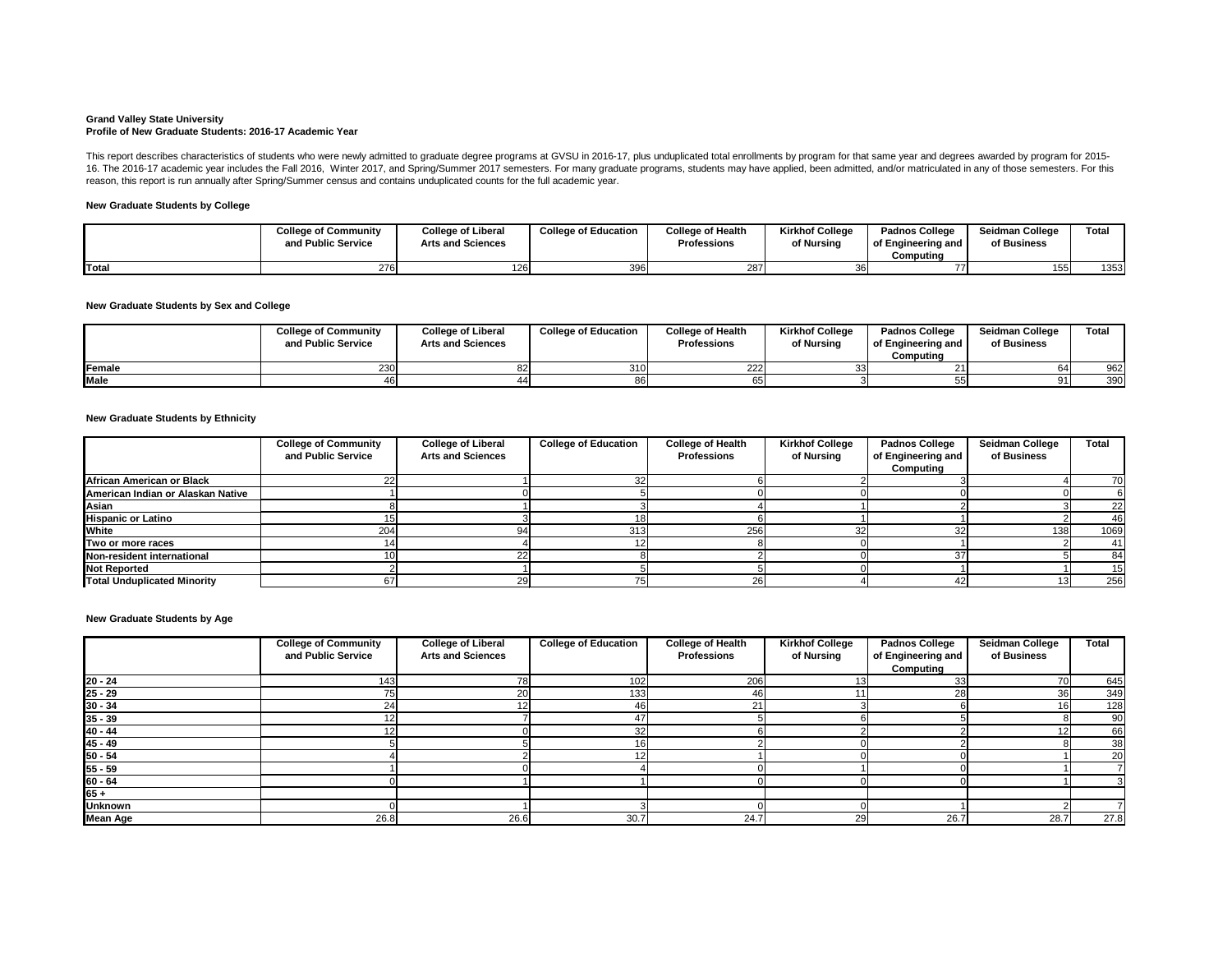#### **Grand Valley State University Profile of New Graduate Students: 2016-17 Academic Year**

# **New Graduate Students by College**

# **New Graduate Students by Sex and College**

### **New Graduate Students by Ethnicity**

|             | <b>College of Community</b><br>and Public Service | <b>College of Liberal</b><br><b>Arts and Sciences</b> | <b>College of Education</b> | <b>College of Health</b><br><b>Professions</b> | <b>Kirkhof College</b><br>of Nursing | <b>Padnos College</b><br>of Engineering and<br>Computina | <b>Seidman College</b><br>of Business | <b>Total</b> |
|-------------|---------------------------------------------------|-------------------------------------------------------|-----------------------------|------------------------------------------------|--------------------------------------|----------------------------------------------------------|---------------------------------------|--------------|
| Female      |                                                   |                                                       | 310                         | 222                                            |                                      |                                                          | 64                                    | 962          |
| <b>Male</b> |                                                   |                                                       |                             |                                                |                                      |                                                          |                                       | 390          |

This report describes characteristics of students who were newly admitted to graduate degree programs at GVSU in 2016-17, plus unduplicated total enrollments by program for that same year and degrees awarded by program for 16. The 2016-17 academic year includes the Fall 2016, Winter 2017, and Spring/Summer 2017 semesters. For many graduate programs, students may have applied, been admitted, and/or matriculated in any of those semesters. For reason, this report is run annually after Spring/Summer census and contains unduplicated counts for the full academic year.

#### **New Graduate Students by Age**

|       | <b>College of Community</b><br>and Public Service | <b>College of Liberal</b><br><b>Arts and Sciences</b> | <b>College of Education</b> | <b>College of Health</b><br><b>Professions</b> | <b>Kirkhof College</b><br>of Nursing | <b>Padnos College</b><br>of Engineering and<br>Computing | <b>Seidman College</b><br>of Business | Total |
|-------|---------------------------------------------------|-------------------------------------------------------|-----------------------------|------------------------------------------------|--------------------------------------|----------------------------------------------------------|---------------------------------------|-------|
| Total | 276                                               | 126.                                                  | 396                         | 287                                            |                                      |                                                          | 155                                   | 1353  |

|                                    | <b>College of Community</b><br>and Public Service | <b>College of Liberal</b><br><b>Arts and Sciences</b> | <b>College of Education</b> | <b>College of Health</b><br><b>Professions</b> | <b>Kirkhof College</b><br>of Nursing | <b>Padnos College</b><br>of Engineering and<br>Computing | <b>Seidman College</b><br>of Business | <b>Total</b> |
|------------------------------------|---------------------------------------------------|-------------------------------------------------------|-----------------------------|------------------------------------------------|--------------------------------------|----------------------------------------------------------|---------------------------------------|--------------|
| <b>African American or Black</b>   |                                                   |                                                       |                             |                                                |                                      |                                                          |                                       | 70           |
| American Indian or Alaskan Native  |                                                   |                                                       |                             |                                                |                                      |                                                          |                                       |              |
| Asian                              |                                                   |                                                       |                             |                                                |                                      |                                                          |                                       | 22           |
| <b>Hispanic or Latino</b>          |                                                   |                                                       |                             |                                                |                                      |                                                          |                                       | -46          |
| White                              | 204                                               |                                                       | 313                         | 256                                            |                                      |                                                          | <b>1381</b>                           | 1069         |
| Two or more races                  |                                                   |                                                       |                             |                                                |                                      |                                                          |                                       | -41          |
| Non-resident international         |                                                   |                                                       |                             |                                                |                                      |                                                          |                                       | 84           |
| <b>Not Reported</b>                |                                                   |                                                       |                             |                                                |                                      |                                                          |                                       | 15           |
| <b>Total Unduplicated Minority</b> |                                                   |                                                       |                             | Zb                                             |                                      |                                                          | 131                                   | 256          |

|                 | <b>College of Community</b><br>and Public Service | <b>College of Liberal</b><br><b>Arts and Sciences</b> | <b>College of Education</b> | <b>College of Health</b><br><b>Professions</b> | <b>Kirkhof College</b><br>of Nursing | <b>Padnos College</b><br>of Engineering and | <b>Seidman College</b><br>of Business | <b>Total</b> |
|-----------------|---------------------------------------------------|-------------------------------------------------------|-----------------------------|------------------------------------------------|--------------------------------------|---------------------------------------------|---------------------------------------|--------------|
|                 |                                                   |                                                       |                             |                                                |                                      | Computing                                   |                                       |              |
| $20 - 24$       | 143                                               | 78                                                    | 102                         | 206                                            | 131                                  |                                             | 70                                    | 645          |
| $25 - 29$       |                                                   | 20                                                    | 133                         | 46                                             |                                      |                                             | 36                                    | 349          |
| $30 - 34$       | 24                                                | 12                                                    | 46                          | 21                                             |                                      |                                             | 16                                    | 128          |
| $35 - 39$       |                                                   |                                                       | 47                          |                                                |                                      |                                             |                                       | 90           |
| $40 - 44$       |                                                   |                                                       | 32                          |                                                |                                      |                                             | 12 <sub>1</sub>                       | 66           |
| $45 - 49$       |                                                   |                                                       | 16 <sub>1</sub>             |                                                |                                      |                                             |                                       | 38           |
| $50 - 54$       |                                                   |                                                       |                             |                                                |                                      |                                             |                                       | 20           |
| $55 - 59$       |                                                   |                                                       |                             |                                                |                                      |                                             |                                       |              |
| $60 - 64$       |                                                   |                                                       |                             |                                                |                                      |                                             |                                       |              |
| $65 +$          |                                                   |                                                       |                             |                                                |                                      |                                             |                                       |              |
| <b>Unknown</b>  |                                                   |                                                       |                             |                                                |                                      |                                             |                                       |              |
| <b>Mean Age</b> | 26.8                                              | 26.6                                                  | 30.7                        | 24.7                                           | 29                                   | 26.7                                        | 28.7                                  | 27.8         |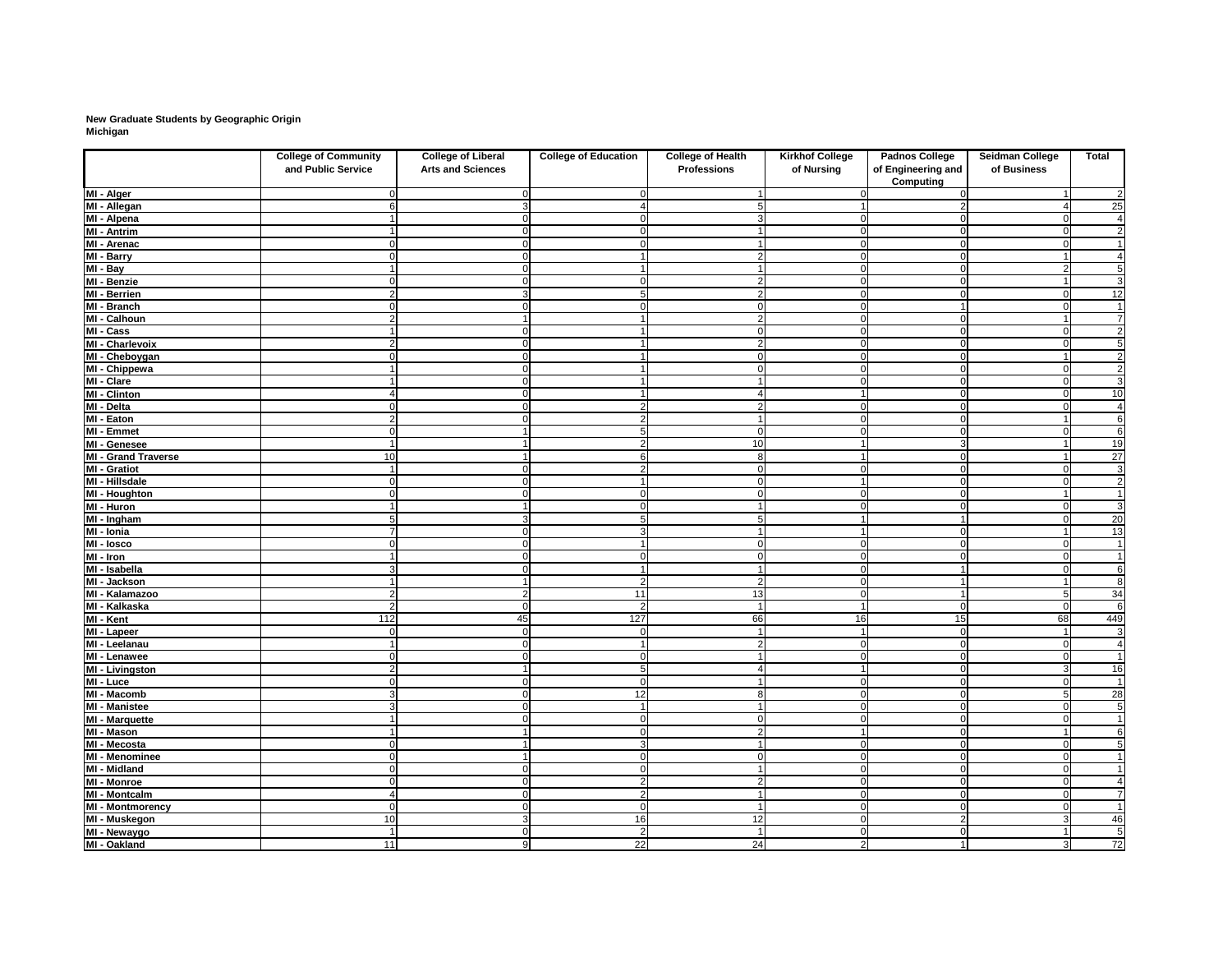# **New Graduate Students by Geographic Origin Michigan**

|                                 | <b>College of Community</b><br>and Public Service | <b>College of Liberal</b><br><b>Arts and Sciences</b> | <b>College of Education</b> | <b>College of Health</b><br><b>Professions</b> | <b>Kirkhof College</b><br>of Nursing | <b>Padnos College</b><br>of Engineering and<br><b>Computing</b> | Seidman College<br>of Business | <b>Total</b>    |
|---------------------------------|---------------------------------------------------|-------------------------------------------------------|-----------------------------|------------------------------------------------|--------------------------------------|-----------------------------------------------------------------|--------------------------------|-----------------|
| MI - Alger                      |                                                   |                                                       |                             |                                                |                                      |                                                                 |                                | $\overline{2}$  |
| MI - Allegan                    |                                                   |                                                       |                             |                                                |                                      |                                                                 |                                | 25              |
| MI - Alpena                     |                                                   |                                                       | $\Omega$                    |                                                | 0                                    |                                                                 | $\Omega$                       | $\overline{4}$  |
| MI - Antrim                     |                                                   |                                                       | $\overline{0}$              |                                                | $\mathbf 0$                          | $\Omega$                                                        | $\Omega$                       | $\overline{2}$  |
| MI - Arenac                     |                                                   |                                                       | $\Omega$                    |                                                | $\overline{0}$                       | $\Omega$                                                        | $\Omega$                       | $\mathbf 1$     |
| MI - Barry                      |                                                   |                                                       | 1                           |                                                | $\mathbf 0$                          |                                                                 |                                | $\overline{4}$  |
| MI - Bay                        |                                                   |                                                       | 1                           |                                                | $\overline{0}$                       | 0                                                               |                                | $\overline{5}$  |
| MI - Benzie                     |                                                   |                                                       | $\mathbf 0$                 | 2                                              | $\overline{0}$                       | $\Omega$                                                        |                                | $\overline{3}$  |
| MI - Berrien                    |                                                   |                                                       | 5                           |                                                | $\overline{0}$                       |                                                                 |                                | 12              |
| MI - Branch                     |                                                   |                                                       | $\Omega$                    |                                                | $\overline{0}$                       |                                                                 |                                | $\mathbf{1}$    |
| MI - Calhoun                    | $\mathcal{P}$                                     |                                                       | 1                           | 2                                              | $\overline{0}$                       | 0                                                               |                                | $\overline{7}$  |
| MI - Cass                       |                                                   |                                                       |                             | $\cap$                                         | $\overline{0}$                       | C                                                               | $\Omega$                       | $\overline{2}$  |
| <b>MI - Charlevoix</b>          | 2                                                 |                                                       |                             |                                                | $\mathbf 0$                          |                                                                 | $\Omega$                       | $\overline{5}$  |
| MI - Cheboygan                  |                                                   |                                                       |                             |                                                | $\mathbf 0$                          |                                                                 |                                | $\overline{2}$  |
| MI - Chippewa                   |                                                   |                                                       |                             |                                                | $\mathbf 0$                          |                                                                 | $\Omega$                       | $\overline{2}$  |
| MI - Clare                      |                                                   |                                                       |                             |                                                | $\overline{0}$                       |                                                                 | $\cap$                         | $\overline{3}$  |
| <b>MI</b> - Clinton             |                                                   |                                                       |                             |                                                |                                      |                                                                 |                                | 10              |
| MI - Delta                      |                                                   |                                                       | 2                           |                                                | 0                                    |                                                                 |                                | $\overline{4}$  |
| MI - Eaton                      |                                                   |                                                       | $\overline{2}$              |                                                | $\mathbf 0$                          |                                                                 |                                | $\overline{6}$  |
| MI - Emmet                      |                                                   |                                                       | 5                           | $\Omega$                                       | $\overline{0}$                       |                                                                 |                                | $\overline{6}$  |
| MI - Genesee                    |                                                   |                                                       | $\overline{2}$              | 10                                             |                                      | 3                                                               |                                | 19              |
| <b>MI - Grand Traverse</b>      | 10                                                |                                                       | 6                           | 8                                              |                                      |                                                                 |                                | $\overline{27}$ |
| <b>MI</b> - Gratiot             |                                                   |                                                       | $\overline{2}$              | $\cap$                                         | 0                                    |                                                                 | $\Omega$                       | 3               |
| MI - Hillsdale                  |                                                   |                                                       | -1                          | $\cap$                                         |                                      |                                                                 |                                | $\overline{2}$  |
| MI - Houghton                   |                                                   |                                                       | $\Omega$                    |                                                | $\overline{0}$                       |                                                                 |                                | $\overline{1}$  |
| MI - Huron                      |                                                   |                                                       | 0                           |                                                | $\Omega$                             |                                                                 |                                | $\overline{3}$  |
| MI - Ingham                     |                                                   |                                                       | 5                           |                                                |                                      |                                                                 | n                              | 20              |
| $\overline{Ml}$ - Ionia         |                                                   |                                                       | 3                           |                                                |                                      |                                                                 |                                | $\overline{13}$ |
| MI - losco                      |                                                   |                                                       |                             |                                                | $\Omega$                             |                                                                 | $\cap$                         | $\mathbf 1$     |
| $\overline{\mathsf{MI}}$ - Iron |                                                   |                                                       |                             |                                                | $\overline{0}$                       |                                                                 |                                | $\mathbf 1$     |
| MI - Isabella                   |                                                   |                                                       |                             |                                                | $\mathbf 0$                          |                                                                 |                                | $\overline{6}$  |
| MI - Jackson                    |                                                   |                                                       |                             |                                                | $\Omega$                             |                                                                 |                                | 8               |
| MI - Kalamazoo                  | 2                                                 |                                                       | 11                          | 13                                             | $\overline{0}$                       |                                                                 |                                |                 |
| MI - Kalkaska                   | 2 <sup>1</sup>                                    | $\Omega$                                              | $\overline{2}$              |                                                |                                      | $\Omega$                                                        | $\Omega$                       | $\frac{34}{6}$  |
| MI - Kent                       | $112$                                             | 45                                                    | $\overline{127}$            | 66                                             | 16                                   | 15                                                              | 68                             | 449             |
| MI - Lapeer                     | U                                                 |                                                       | $\mathbf 0$                 |                                                |                                      | $\Omega$                                                        |                                | 3               |
| MI - Leelanau                   | 1                                                 |                                                       | $\overline{\mathbf{1}}$     | 2                                              | $\mathbf 0$                          |                                                                 | $\Omega$                       | $\overline{4}$  |
| MI - Lenawee                    | ∩                                                 |                                                       | $\mathbf 0$                 |                                                | $\mathbf 0$                          |                                                                 | $\Omega$                       | $\overline{1}$  |
| MI - Livingston                 | 2                                                 |                                                       | 5 <sub>5</sub>              |                                                |                                      |                                                                 | -3                             | 16              |
| MI - Luce                       | ∩                                                 |                                                       | $\Omega$                    |                                                | $\overline{0}$                       |                                                                 | $\Omega$                       | $\overline{1}$  |
| $\overline{M}$ l - Macomb       | $\overline{3}$                                    |                                                       | 12                          |                                                | $\overline{0}$                       |                                                                 |                                | 28              |
| <b>MI - Manistee</b>            | $\overline{3}$                                    |                                                       | $\overline{1}$              |                                                | $\overline{0}$                       |                                                                 |                                | $\overline{5}$  |
| MI - Marquette                  |                                                   |                                                       | $\boldsymbol{0}$            | $\cap$                                         | $\overline{0}$                       | $\Omega$                                                        | - 0                            | $\overline{1}$  |
| MI - Mason                      |                                                   |                                                       | $\overline{0}$              | $\overline{2}$                                 |                                      | $\Omega$                                                        |                                | 6               |
| MI - Mecosta                    | $\Omega$                                          |                                                       | $\mathbf{3}$                |                                                | $\overline{0}$                       | $\mathbf 0$                                                     | 0                              | 5               |
| <b>MI - Menominee</b>           | $\mathbf 0$                                       |                                                       | $\overline{0}$              | $\Omega$                                       | 0                                    | 0                                                               | $\overline{0}$                 | $\mathbf 1$     |
| <b>MI - Midland</b>             | $\Omega$                                          | $\Omega$                                              | $\overline{0}$              |                                                | 0                                    | $\Omega$                                                        | $\Omega$                       | $\overline{1}$  |
| <b>MI - Monroe</b>              | $\Omega$                                          |                                                       | $\overline{2}$              | $\overline{2}$                                 | 0                                    | 0                                                               | 0                              | $\overline{4}$  |
| <b>MI - Montcalm</b>            | $\overline{4}$                                    | $\Omega$                                              | $\vert$ 2                   |                                                | 0                                    | 0                                                               | 0                              | $\overline{7}$  |
| <b>MI - Montmorency</b>         | $\overline{0}$                                    | $\Omega$                                              | $\overline{0}$              |                                                | 0                                    | $\Omega$                                                        | $\mathbf 0$                    | $\overline{1}$  |
| MI - Muskegon                   | 10                                                | 3                                                     | 16                          | 12                                             | $\overline{0}$                       | 2                                                               | $\mathbf{3}$                   | 46              |
| MI - Newaygo                    | $\mathbf{1}$                                      | $\Omega$                                              | $\overline{2}$              | $\overline{1}$                                 | $\overline{0}$                       | $\Omega$                                                        | $\overline{\mathbf{1}}$        | $\overline{5}$  |
| MI - Oakland                    | 11                                                | 9                                                     | 22                          | 24                                             | $2\vert$                             | $\overline{1}$                                                  | 3                              | $\overline{72}$ |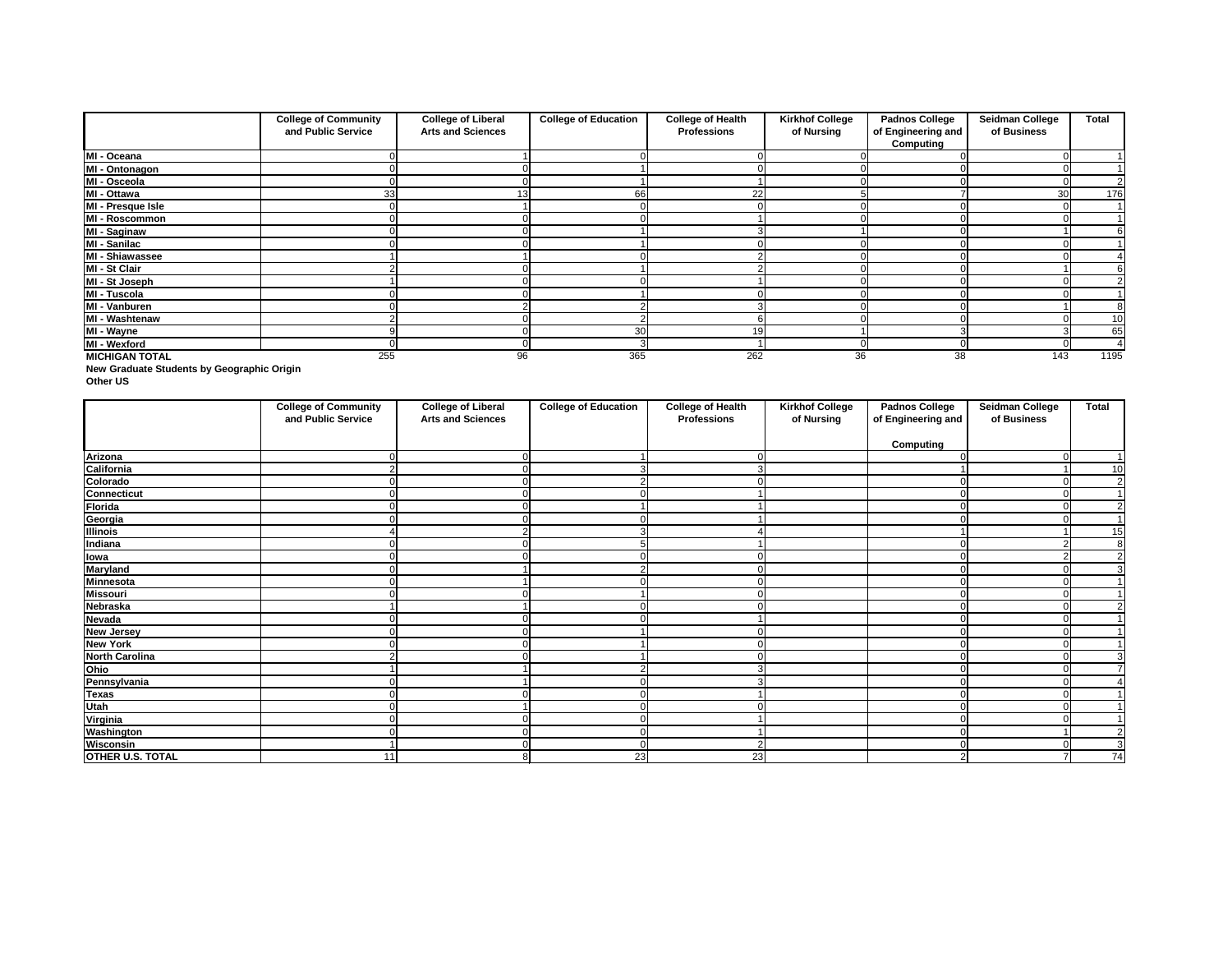**New Graduate Students by Geographic Origin**

**Other US**

|                       | <b>College of Community</b><br>and Public Service | <b>College of Liberal</b><br><b>Arts and Sciences</b> | <b>College of Education</b> | <b>College of Health</b><br><b>Professions</b> | <b>Kirkhof College</b><br>of Nursing | <b>Padnos College</b><br>of Engineering and | <b>Seidman College</b><br>of Business | <b>Total</b> |
|-----------------------|---------------------------------------------------|-------------------------------------------------------|-----------------------------|------------------------------------------------|--------------------------------------|---------------------------------------------|---------------------------------------|--------------|
|                       |                                                   |                                                       |                             |                                                |                                      | <b>Computing</b>                            |                                       |              |
| MI - Oceana           |                                                   |                                                       |                             |                                                |                                      |                                             |                                       |              |
| MI - Ontonagon        |                                                   |                                                       |                             |                                                |                                      |                                             |                                       |              |
| MI - Osceola          |                                                   |                                                       |                             |                                                |                                      |                                             |                                       |              |
| MI - Ottawa           | 33                                                |                                                       | 66                          | 22                                             |                                      |                                             | 30                                    | 176          |
| MI - Presque Isle     |                                                   |                                                       |                             |                                                |                                      |                                             |                                       |              |
| MI - Roscommon        |                                                   |                                                       |                             |                                                |                                      |                                             |                                       |              |
| <b>MI - Saginaw</b>   |                                                   |                                                       |                             |                                                |                                      |                                             |                                       |              |
| MI - Sanilac          |                                                   |                                                       |                             |                                                |                                      |                                             |                                       |              |
| MI - Shiawassee       |                                                   |                                                       |                             |                                                |                                      |                                             |                                       |              |
| MI - St Clair         |                                                   |                                                       |                             |                                                |                                      |                                             |                                       |              |
| MI - St Joseph        |                                                   |                                                       |                             |                                                |                                      |                                             |                                       |              |
| MI - Tuscola          |                                                   |                                                       |                             |                                                |                                      |                                             |                                       |              |
| MI - Vanburen         |                                                   |                                                       |                             |                                                |                                      |                                             |                                       |              |
| MI - Washtenaw        |                                                   |                                                       |                             |                                                |                                      |                                             |                                       | 10           |
| MI - Wayne            |                                                   |                                                       | 30                          | 19                                             |                                      |                                             |                                       | 65           |
| MI - Wexford          |                                                   |                                                       |                             |                                                |                                      |                                             |                                       |              |
| <b>MICHIGAN TOTAL</b> | 255                                               | 96                                                    | 365                         | 262                                            | 36                                   | 38                                          | 143                                   | 1195         |

|                         | <b>College of Community</b><br>and Public Service | <b>College of Liberal</b><br><b>Arts and Sciences</b> | <b>College of Education</b> | <b>College of Health</b><br><b>Professions</b> | <b>Kirkhof College</b><br>of Nursing | <b>Padnos College</b><br>of Engineering and | <b>Seidman College</b><br>of Business | <b>Total</b>    |
|-------------------------|---------------------------------------------------|-------------------------------------------------------|-----------------------------|------------------------------------------------|--------------------------------------|---------------------------------------------|---------------------------------------|-----------------|
|                         |                                                   |                                                       |                             |                                                |                                      | <b>Computing</b>                            |                                       |                 |
| Arizona                 |                                                   |                                                       |                             |                                                |                                      |                                             | $\Omega$                              |                 |
|                         | 2                                                 |                                                       |                             | 3                                              |                                      |                                             |                                       | 10              |
| California<br>Colorado  |                                                   |                                                       |                             |                                                |                                      |                                             |                                       | $\overline{2}$  |
|                         | 0                                                 |                                                       |                             |                                                |                                      |                                             |                                       | $\mathbf 1$     |
| Connecticut<br>Florida  | U                                                 |                                                       |                             |                                                |                                      |                                             |                                       | $\overline{2}$  |
| Georgia                 |                                                   |                                                       |                             |                                                |                                      |                                             |                                       | $\overline{1}$  |
| <b>Illinois</b>         |                                                   |                                                       |                             |                                                |                                      |                                             |                                       | 15              |
| Indiana                 |                                                   |                                                       |                             |                                                |                                      |                                             |                                       | 8               |
| <b>lowa</b>             |                                                   |                                                       |                             |                                                |                                      |                                             |                                       | $\overline{2}$  |
| <b>Maryland</b>         |                                                   |                                                       |                             |                                                |                                      |                                             |                                       | 3               |
| <b>Minnesota</b>        |                                                   |                                                       |                             |                                                |                                      |                                             |                                       |                 |
| <b>Missouri</b>         |                                                   |                                                       |                             |                                                |                                      |                                             |                                       |                 |
| <b>Nebraska</b>         |                                                   |                                                       |                             |                                                |                                      |                                             |                                       | $\overline{2}$  |
| <b>Nevada</b>           |                                                   |                                                       |                             |                                                |                                      |                                             |                                       |                 |
| <b>New Jersey</b>       |                                                   |                                                       |                             |                                                |                                      |                                             |                                       |                 |
| <b>New York</b>         |                                                   |                                                       |                             |                                                |                                      |                                             |                                       |                 |
| <b>North Carolina</b>   |                                                   |                                                       |                             |                                                |                                      |                                             |                                       | 3               |
| Ohio                    |                                                   |                                                       |                             |                                                |                                      |                                             |                                       | $\overline{7}$  |
| Pennsylvania            |                                                   |                                                       |                             |                                                |                                      |                                             |                                       |                 |
| <b>Texas</b>            | U                                                 |                                                       | ∩                           |                                                |                                      |                                             |                                       |                 |
| <b>Utah</b>             |                                                   |                                                       | $\Omega$                    |                                                |                                      |                                             |                                       |                 |
| Virginia                |                                                   |                                                       |                             |                                                |                                      |                                             |                                       |                 |
| Washington              |                                                   |                                                       | $\overline{0}$              |                                                |                                      |                                             |                                       | $\overline{2}$  |
| <b>Wisconsin</b>        |                                                   |                                                       | $\Omega$                    | $\overline{2}$                                 |                                      |                                             | 0                                     | 3               |
| <b>OTHER U.S. TOTAL</b> | 11                                                | я                                                     | 23                          | 23                                             |                                      | 2                                           |                                       | $\overline{74}$ |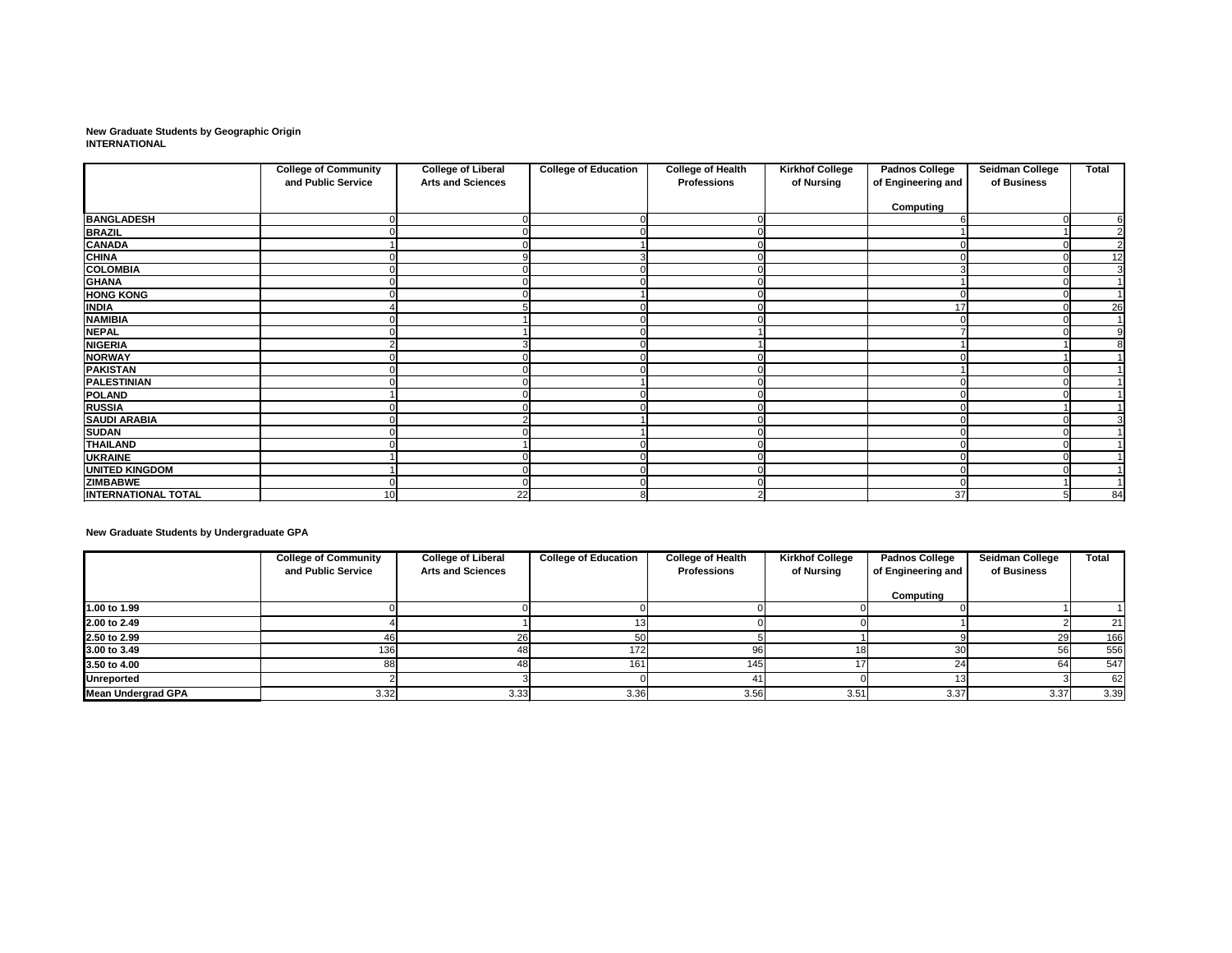**New Graduate Students by Geographic Origin INTERNATIONAL**

|                            | <b>College of Community</b><br>and Public Service | <b>College of Liberal</b><br><b>Arts and Sciences</b> | <b>College of Education</b> | <b>College of Health</b><br><b>Professions</b> | <b>Kirkhof College</b><br>of Nursing | <b>Padnos College</b><br>of Engineering and | <b>Seidman College</b><br>of Business | <b>Total</b>   |
|----------------------------|---------------------------------------------------|-------------------------------------------------------|-----------------------------|------------------------------------------------|--------------------------------------|---------------------------------------------|---------------------------------------|----------------|
|                            |                                                   |                                                       |                             |                                                |                                      | <b>Computing</b>                            |                                       |                |
| <b>BANGLADESH</b>          |                                                   |                                                       | O                           |                                                |                                      |                                             |                                       | 6              |
| <b>BRAZIL</b>              |                                                   |                                                       |                             |                                                |                                      |                                             |                                       | $\overline{2}$ |
| <b>CANADA</b>              |                                                   |                                                       |                             |                                                |                                      |                                             |                                       | $\overline{2}$ |
| <b>CHINA</b>               |                                                   |                                                       |                             |                                                |                                      |                                             |                                       | 12             |
| <b>COLOMBIA</b>            |                                                   |                                                       |                             |                                                |                                      |                                             |                                       | $\overline{3}$ |
| <b>GHANA</b>               |                                                   |                                                       |                             |                                                |                                      |                                             |                                       |                |
| <b>HONG KONG</b>           |                                                   |                                                       |                             |                                                |                                      |                                             |                                       |                |
| <b>INDIA</b>               |                                                   |                                                       |                             |                                                |                                      | 17                                          |                                       | 26             |
| <b>NAMIBIA</b>             |                                                   |                                                       |                             |                                                |                                      |                                             |                                       |                |
| <b>NEPAL</b>               |                                                   |                                                       |                             |                                                |                                      |                                             |                                       | $\overline{9}$ |
| <b>NIGERIA</b>             |                                                   |                                                       |                             |                                                |                                      |                                             |                                       | 8              |
| <b>NORWAY</b>              |                                                   |                                                       |                             |                                                |                                      |                                             |                                       |                |
| <b>PAKISTAN</b>            |                                                   |                                                       |                             |                                                |                                      |                                             |                                       |                |
| <b>PALESTINIAN</b>         |                                                   |                                                       |                             |                                                |                                      |                                             |                                       |                |
| <b>POLAND</b>              |                                                   |                                                       |                             |                                                |                                      |                                             |                                       |                |
| <b>RUSSIA</b>              |                                                   |                                                       |                             |                                                |                                      |                                             |                                       |                |
| <b>SAUDI ARABIA</b>        |                                                   |                                                       |                             |                                                |                                      |                                             |                                       | 3              |
| <b>SUDAN</b>               |                                                   |                                                       |                             |                                                |                                      |                                             |                                       |                |
| <b>THAILAND</b>            |                                                   |                                                       |                             |                                                |                                      |                                             |                                       |                |
| <b>UKRAINE</b>             |                                                   |                                                       |                             |                                                |                                      |                                             |                                       |                |
| <b>UNITED KINGDOM</b>      |                                                   |                                                       |                             |                                                |                                      |                                             |                                       |                |
| <b>ZIMBABWE</b>            |                                                   |                                                       |                             |                                                |                                      |                                             |                                       |                |
| <b>INTERNATIONAL TOTAL</b> | 10                                                | 22                                                    | 8                           |                                                |                                      | 37                                          |                                       | 84             |

**New Graduate Students by Undergraduate GPA**

|                           | <b>College of Community</b><br>and Public Service | <b>College of Liberal</b><br><b>Arts and Sciences</b> | <b>College of Education</b> | <b>College of Health</b><br><b>Professions</b> | <b>Kirkhof College</b><br>of Nursing | <b>Padnos College</b><br>of Engineering and | <b>Seidman College</b><br>of Business | <b>Total</b> |
|---------------------------|---------------------------------------------------|-------------------------------------------------------|-----------------------------|------------------------------------------------|--------------------------------------|---------------------------------------------|---------------------------------------|--------------|
|                           |                                                   |                                                       |                             |                                                |                                      | Computing                                   |                                       |              |
| 1.00 to 1.99              |                                                   |                                                       |                             |                                                |                                      |                                             |                                       |              |
| 2.00 to 2.49              |                                                   |                                                       |                             |                                                |                                      |                                             |                                       | 21           |
| 2.50 to 2.99              |                                                   |                                                       | 50                          |                                                |                                      |                                             | 29                                    | 166          |
| 3.00 to 3.49              | 136                                               |                                                       | 172                         | 96                                             | 181                                  |                                             | -56I                                  | 556          |
| 3.50 to 4.00              |                                                   | ΛЯ                                                    | 161                         | 145                                            |                                      |                                             | 64I                                   | 547          |
| <b>Unreported</b>         |                                                   |                                                       |                             |                                                |                                      |                                             |                                       | 62           |
| <b>Mean Undergrad GPA</b> | 3.32                                              | 3.33                                                  | 3.36                        | 3.56                                           | 3.51                                 | 3.37                                        | 3.37                                  | 3.39         |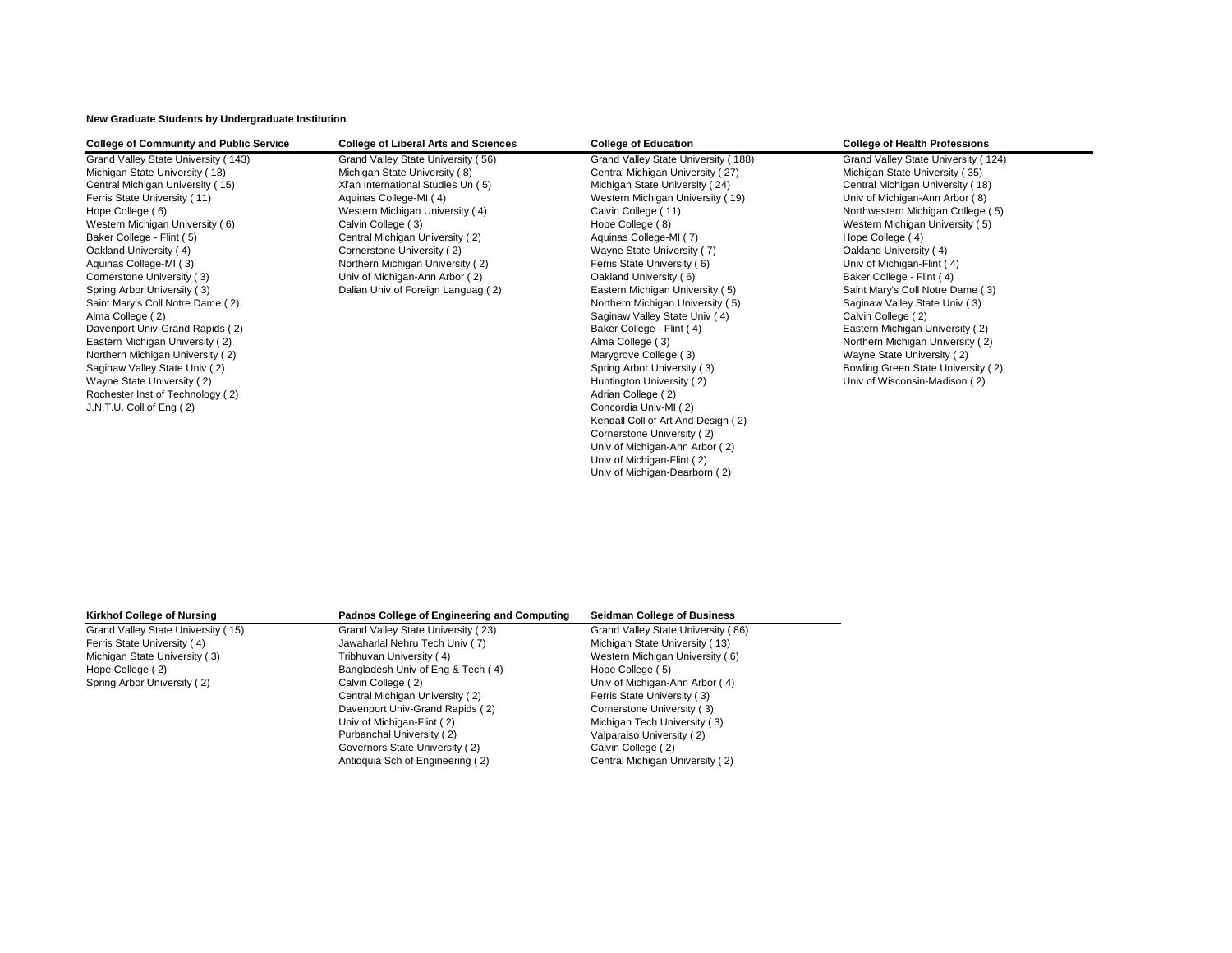**New Graduate Students by Undergraduate Institution**

| <b>College of Community and Public Service</b> | <b>College of Liberal Arts and Sciences</b> | <b>College of Education</b>         | <b>College of Health Professions</b> |
|------------------------------------------------|---------------------------------------------|-------------------------------------|--------------------------------------|
| Grand Valley State University (143)            | Grand Valley State University (56)          | Grand Valley State University (188) | Grand Valley State University (124)  |
| Michigan State University (18)                 | Michigan State University (8)               | Central Michigan University (27)    | Michigan State University (35)       |
| Central Michigan University (15)               | Xi'an International Studies Un (5)          | Michigan State University (24)      | Central Michigan University (18)     |
| Ferris State University (11)                   | Aquinas College-MI (4)                      | Western Michigan University (19)    | Univ of Michigan-Ann Arbor (8)       |
| Hope College (6)                               | Western Michigan University (4)             | Calvin College (11)                 | Northwestern Michigan College (5)    |
| Western Michigan University (6)                | Calvin College (3)                          | Hope College (8)                    | Western Michigan University (5)      |
| Baker College - Flint (5)                      | Central Michigan University (2)             | Aquinas College-MI (7)              | Hope College (4)                     |
| Oakland University (4)                         | Cornerstone University (2)                  | Wayne State University (7)          | Oakland University (4)               |
| Aquinas College-MI (3)                         | Northern Michigan University (2)            | Ferris State University (6)         | Univ of Michigan-Flint (4)           |
| Cornerstone University (3)                     | Univ of Michigan-Ann Arbor (2)              | Oakland University (6)              | Baker College - Flint (4)            |
| Spring Arbor University (3)                    | Dalian Univ of Foreign Languag (2)          | Eastern Michigan University (5)     | Saint Mary's Coll Notre Dame (3)     |
| Saint Mary's Coll Notre Dame (2)               |                                             | Northern Michigan University (5)    | Saginaw Valley State Univ (3)        |
| Alma College (2)                               |                                             | Saginaw Valley State Univ (4)       | Calvin College (2)                   |
| Davenport Univ-Grand Rapids (2)                |                                             | Baker College - Flint (4)           | Eastern Michigan University (2)      |
| Eastern Michigan University (2)                |                                             | Alma College (3)                    | Northern Michigan University (2)     |
| Northern Michigan University (2)               |                                             | Marygrove College (3)               | Wayne State University (2)           |
| Saginaw Valley State Univ (2)                  |                                             | Spring Arbor University (3)         | Bowling Green State University (2)   |
| Wayne State University (2)                     |                                             | Huntington University (2)           | Univ of Wisconsin-Madison (2)        |
| Rochester Inst of Technology (2)               |                                             | Adrian College (2)                  |                                      |
| J.N.T.U. Coll of Eng (2)                       |                                             | Concordia Univ-MI (2)               |                                      |
|                                                |                                             | Kendall Coll of Art And Design (2)  |                                      |
|                                                |                                             | Cornerstone University (2)          |                                      |
|                                                |                                             | Univ of Michigan-Ann Arbor (2)      |                                      |
|                                                |                                             | Univ of Michigan-Flint (2)          |                                      |

Univ of Michigan-Dearborn ( 2)

| <b>Kirkhof College of Nursing</b>  | <b>Padnos College of Engineering and Computing</b> | <b>Seidman College of Business</b> |
|------------------------------------|----------------------------------------------------|------------------------------------|
| Grand Valley State University (15) | Grand Valley State University (23)                 | Grand Valley State University (86) |
| Ferris State University (4)        | Jawaharlal Nehru Tech Univ (7)                     | Michigan State University (13)     |
| Michigan State University (3)      | Tribhuvan University (4)                           | Western Michigan University (6)    |
| Hope College (2)                   | Bangladesh Univ of Eng & Tech (4)                  | Hope College (5)                   |
| Spring Arbor University (2)        | Calvin College (2)                                 | Univ of Michigan-Ann Arbor (4)     |
|                                    | Central Michigan University (2)                    | Ferris State University (3)        |
|                                    | Davenport Univ-Grand Rapids (2)                    | Cornerstone University (3)         |
|                                    | Univ of Michigan-Flint (2)                         | Michigan Tech University (3)       |
|                                    | Purbanchal University (2)                          | Valparaiso University (2)          |
|                                    | Governors State University (2)                     | Calvin College (2)                 |
|                                    | Antioquia Sch of Engineering (2)                   | Central Michigan University (2)    |